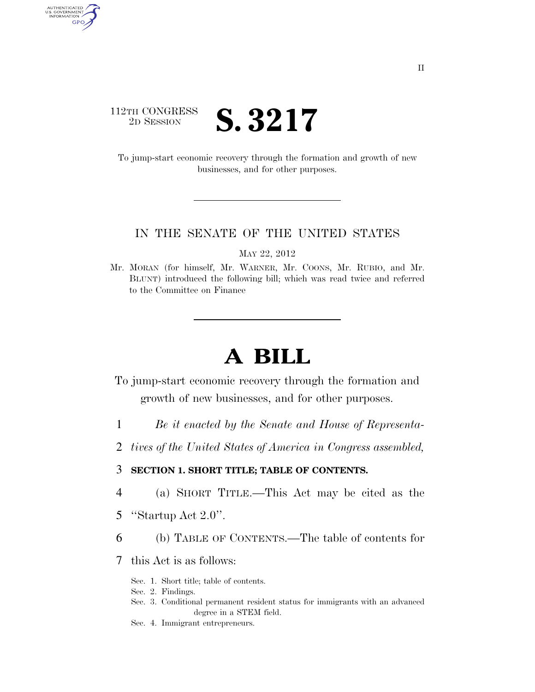## 112TH CONGRESS<br>2D SESSION 2D SESSION **S. 3217**

AUTHENTICATED<br>U.S. GOVERNMENT<br>INFORMATION GPO

> To jump-start economic recovery through the formation and growth of new businesses, and for other purposes.

#### IN THE SENATE OF THE UNITED STATES

MAY 22, 2012

Mr. MORAN (for himself, Mr. WARNER, Mr. COONS, Mr. RUBIO, and Mr. BLUNT) introduced the following bill; which was read twice and referred to the Committee on Finance

# **A BILL**

To jump-start economic recovery through the formation and growth of new businesses, and for other purposes.

- 1 *Be it enacted by the Senate and House of Representa-*
- 2 *tives of the United States of America in Congress assembled,*

### 3 **SECTION 1. SHORT TITLE; TABLE OF CONTENTS.**

- 4 (a) SHORT TITLE.—This Act may be cited as the
- 5 ''Startup Act 2.0''.
- 6 (b) TABLE OF CONTENTS.—The table of contents for
- 7 this Act is as follows:
	- Sec. 1. Short title; table of contents.
	- Sec. 2. Findings.
	- Sec. 3. Conditional permanent resident status for immigrants with an advanced degree in a STEM field.
	- Sec. 4. Immigrant entrepreneurs.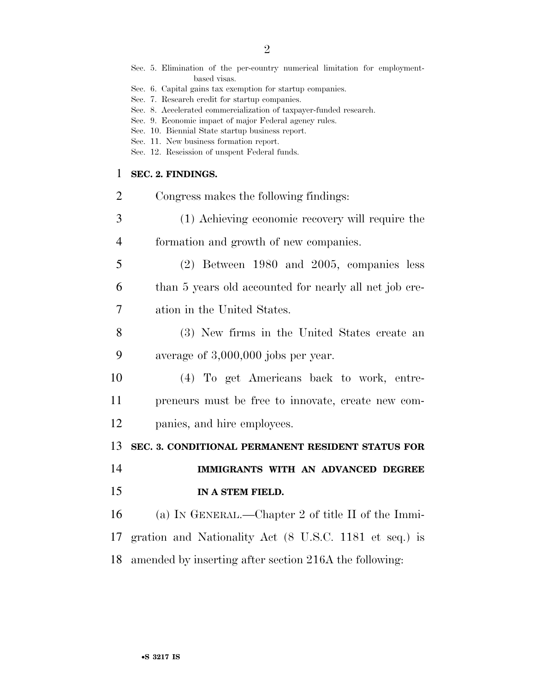|                | Sec. 5. Elimination of the per-country numerical limitation for employment-<br>based visas.<br>Sec. 6. Capital gains tax exemption for startup companies.<br>Sec. 7. Research credit for startup companies.<br>Sec. 8. Accelerated commercialization of taxpayer-funded research.<br>Sec. 9. Economic impact of major Federal agency rules. |
|----------------|---------------------------------------------------------------------------------------------------------------------------------------------------------------------------------------------------------------------------------------------------------------------------------------------------------------------------------------------|
|                | Sec. 10. Biennial State startup business report.<br>Sec. 11. New business formation report.<br>Sec. 12. Rescission of unspent Federal funds.                                                                                                                                                                                                |
| 1              | SEC. 2. FINDINGS.                                                                                                                                                                                                                                                                                                                           |
| $\overline{2}$ | Congress makes the following findings:                                                                                                                                                                                                                                                                                                      |
| 3              | (1) Achieving economic recovery will require the                                                                                                                                                                                                                                                                                            |
| 4              | formation and growth of new companies.                                                                                                                                                                                                                                                                                                      |
| 5              | $(2)$ Between 1980 and 2005, companies less                                                                                                                                                                                                                                                                                                 |
| 6              | than 5 years old accounted for nearly all net job cre-                                                                                                                                                                                                                                                                                      |
| 7              | ation in the United States.                                                                                                                                                                                                                                                                                                                 |
| 8              | (3) New firms in the United States create an                                                                                                                                                                                                                                                                                                |
| 9              | average of $3,000,000$ jobs per year.                                                                                                                                                                                                                                                                                                       |
| 10             | (4) To get Americans back to work, entre-                                                                                                                                                                                                                                                                                                   |
| 11             | preneurs must be free to innovate, create new com-                                                                                                                                                                                                                                                                                          |
| 12             | panies, and hire employees.                                                                                                                                                                                                                                                                                                                 |
| 13             | SEC. 3. CONDITIONAL PERMANENT RESIDENT STATUS FOR                                                                                                                                                                                                                                                                                           |
| 14             | IMMIGRANTS WITH AN ADVANCED DEGREE                                                                                                                                                                                                                                                                                                          |
| 15             | IN A STEM FIELD.                                                                                                                                                                                                                                                                                                                            |
| 16             | (a) IN GENERAL.—Chapter 2 of title II of the Immi-                                                                                                                                                                                                                                                                                          |
| 17             | gration and Nationality Act (8 U.S.C. 1181 et seq.) is                                                                                                                                                                                                                                                                                      |
| 18             | amended by inserting after section 216A the following:                                                                                                                                                                                                                                                                                      |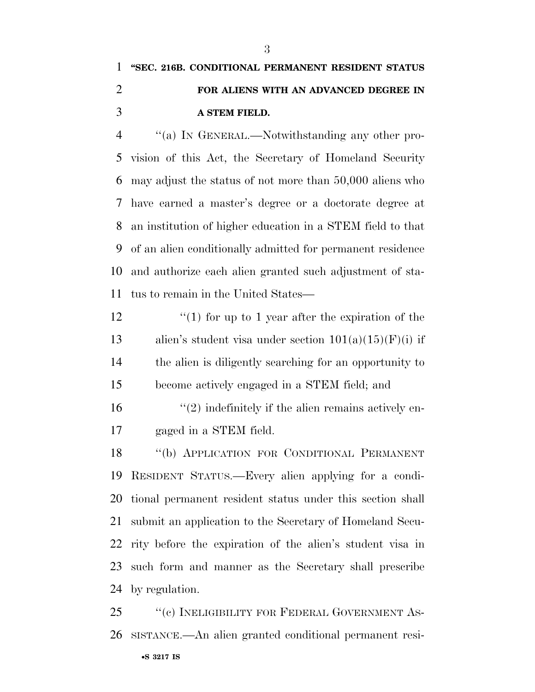# **''SEC. 216B. CONDITIONAL PERMANENT RESIDENT STATUS FOR ALIENS WITH AN ADVANCED DEGREE IN A STEM FIELD.**

 ''(a) IN GENERAL.—Notwithstanding any other pro- vision of this Act, the Secretary of Homeland Security may adjust the status of not more than 50,000 aliens who have earned a master's degree or a doctorate degree at an institution of higher education in a STEM field to that of an alien conditionally admitted for permanent residence and authorize each alien granted such adjustment of sta-tus to remain in the United States—

 $\frac{1}{2}$  (1) for up to 1 year after the expiration of the 13 alien's student visa under section  $101(a)(15)(F)(i)$  if the alien is diligently searching for an opportunity to become actively engaged in a STEM field; and

 $\mathcal{L}(2)$  indefinitely if the alien remains actively en-gaged in a STEM field.

 ''(b) APPLICATION FOR CONDITIONAL PERMANENT RESIDENT STATUS.—Every alien applying for a condi- tional permanent resident status under this section shall submit an application to the Secretary of Homeland Secu- rity before the expiration of the alien's student visa in such form and manner as the Secretary shall prescribe by regulation.

•**S 3217 IS** 25 "(c) INELIGIBILITY FOR FEDERAL GOVERNMENT AS-SISTANCE.—An alien granted conditional permanent resi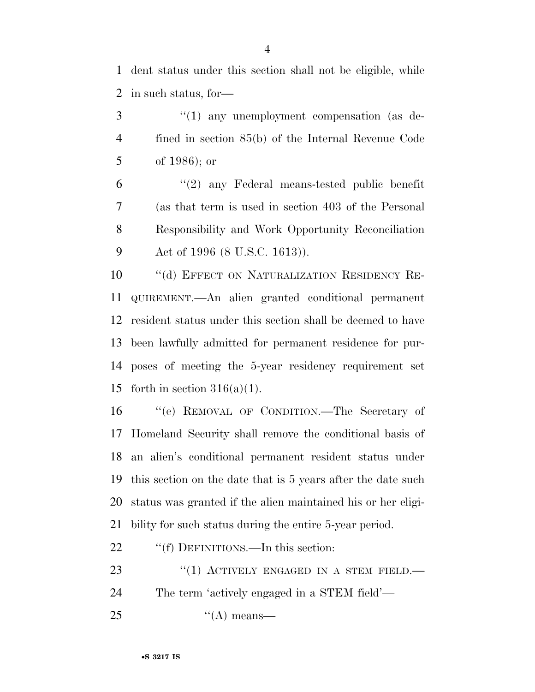dent status under this section shall not be eligible, while in such status, for—

3 "(1) any unemployment compensation (as de- fined in section 85(b) of the Internal Revenue Code of 1986); or

 ''(2) any Federal means-tested public benefit (as that term is used in section 403 of the Personal Responsibility and Work Opportunity Reconciliation Act of 1996 (8 U.S.C. 1613)).

10 "(d) EFFECT ON NATURALIZATION RESIDENCY RE- QUIREMENT.—An alien granted conditional permanent resident status under this section shall be deemed to have been lawfully admitted for permanent residence for pur- poses of meeting the 5-year residency requirement set 15 forth in section  $316(a)(1)$ .

 ''(e) REMOVAL OF CONDITION.—The Secretary of Homeland Security shall remove the conditional basis of an alien's conditional permanent resident status under this section on the date that is 5 years after the date such status was granted if the alien maintained his or her eligi-bility for such status during the entire 5-year period.

22 ""(f) DEFINITIONS.—In this section:

23 "(1) ACTIVELY ENGAGED IN A STEM FIELD. The term 'actively engaged in a STEM field'—

''(A) means—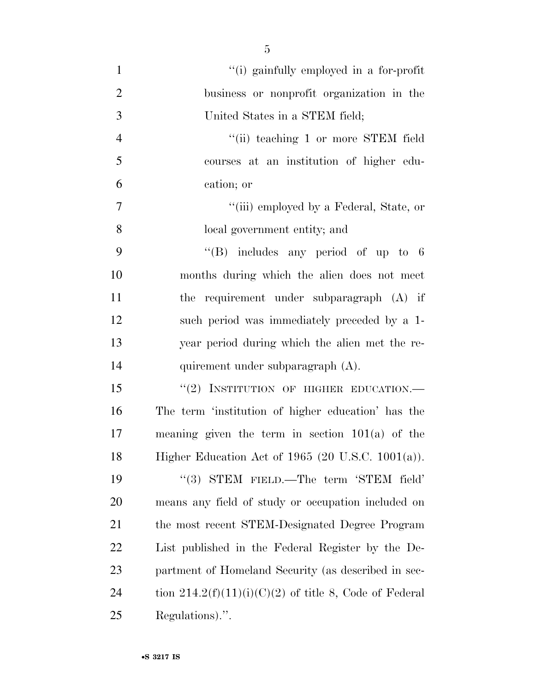''(i) gainfully employed in a for-profit business or nonprofit organization in the United States in a STEM field; 4 "(ii) teaching 1 or more STEM field courses at an institution of higher edu- cation; or ''(iii) employed by a Federal, State, or local government entity; and ''(B) includes any period of up to 6 months during which the alien does not meet the requirement under subparagraph (A) if such period was immediately preceded by a 1- year period during which the alien met the re- quirement under subparagraph (A). 15 "(2) INSTITUTION OF HIGHER EDUCATION.— The term 'institution of higher education' has the meaning given the term in section 101(a) of the Higher Education Act of 1965 (20 U.S.C. 1001(a)). 19 "(3) STEM FIELD.—The term 'STEM field' means any field of study or occupation included on

 the most recent STEM-Designated Degree Program List published in the Federal Register by the De- partment of Homeland Security (as described in sec-24 tion  $214.2(f)(11)(i)(C)(2)$  of title 8, Code of Federal Regulations).''.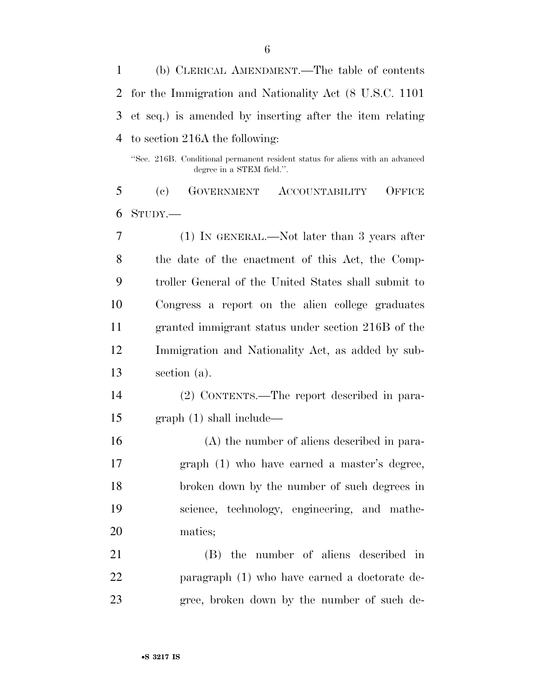(b) CLERICAL AMENDMENT.—The table of contents for the Immigration and Nationality Act (8 U.S.C. 1101 et seq.) is amended by inserting after the item relating to section 216A the following:

''Sec. 216B. Conditional permanent resident status for aliens with an advanced degree in a STEM field.''.

 (c) GOVERNMENT ACCOUNTABILITY OFFICE STUDY.—

 (1) IN GENERAL.—Not later than 3 years after the date of the enactment of this Act, the Comp- troller General of the United States shall submit to Congress a report on the alien college graduates granted immigrant status under section 216B of the Immigration and Nationality Act, as added by sub-section (a).

 (2) CONTENTS.—The report described in para-graph (1) shall include—

 (A) the number of aliens described in para- graph (1) who have earned a master's degree, broken down by the number of such degrees in science, technology, engineering, and mathe-matics;

 (B) the number of aliens described in paragraph (1) who have earned a doctorate de-gree, broken down by the number of such de-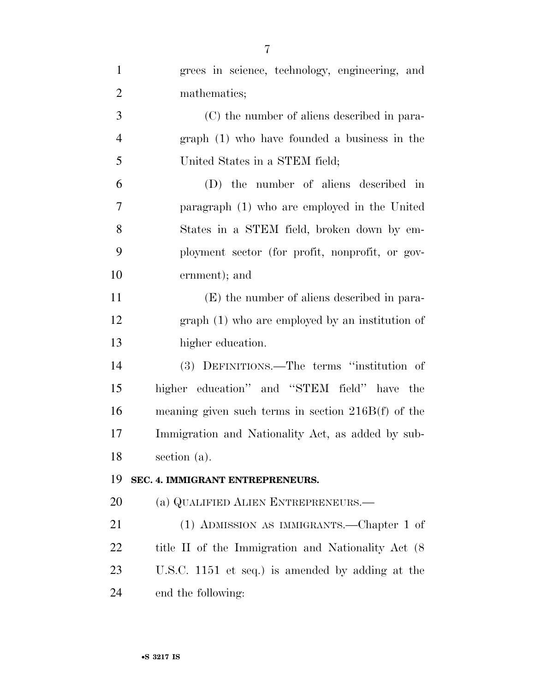| $\mathbf{1}$   | grees in science, technology, engineering, and       |
|----------------|------------------------------------------------------|
| $\overline{2}$ | mathematics;                                         |
| 3              | (C) the number of aliens described in para-          |
| $\overline{4}$ | $graph (1)$ who have founded a business in the       |
| 5              | United States in a STEM field;                       |
| 6              | (D) the number of aliens described in                |
| 7              | paragraph (1) who are employed in the United         |
| 8              | States in a STEM field, broken down by em-           |
| 9              | ployment sector (for profit, nonprofit, or gov-      |
| 10             | ernment); and                                        |
| 11             | (E) the number of aliens described in para-          |
| 12             | $graph(1)$ who are employed by an institution of     |
| 13             | higher education.                                    |
| 14             | (3) DEFINITIONS.—The terms "institution of           |
| 15             | higher education" and "STEM field" have the          |
| 16             | meaning given such terms in section $216B(f)$ of the |
| 17             | Immigration and Nationality Act, as added by sub-    |
| 18             | section (a).                                         |
| 19             | SEC. 4. IMMIGRANT ENTREPRENEURS.                     |
| 20             | (a) QUALIFIED ALIEN ENTREPRENEURS.                   |
| 21             | (1) ADMISSION AS IMMIGRANTS.—Chapter 1 of            |
| 22             | title II of the Immigration and Nationality Act (8)  |
| 23             | U.S.C. 1151 et seq.) is amended by adding at the     |
| 24             | end the following:                                   |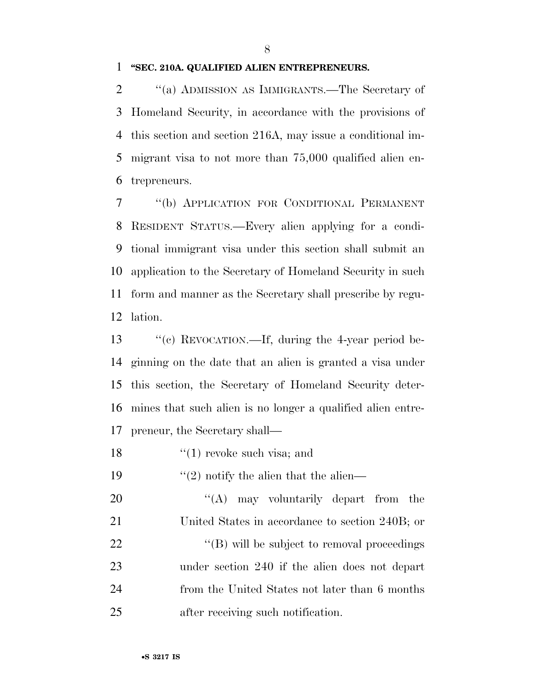#### **''SEC. 210A. QUALIFIED ALIEN ENTREPRENEURS.**

 ''(a) ADMISSION AS IMMIGRANTS.—The Secretary of Homeland Security, in accordance with the provisions of this section and section 216A, may issue a conditional im- migrant visa to not more than 75,000 qualified alien en-trepreneurs.

 ''(b) APPLICATION FOR CONDITIONAL PERMANENT RESIDENT STATUS.—Every alien applying for a condi- tional immigrant visa under this section shall submit an application to the Secretary of Homeland Security in such form and manner as the Secretary shall prescribe by regu-lation.

13 "(c) REVOCATION.—If, during the 4-year period be- ginning on the date that an alien is granted a visa under this section, the Secretary of Homeland Security deter- mines that such alien is no longer a qualified alien entre-preneur, the Secretary shall—

- 18  $\frac{1}{2}$  (1) revoke such visa; and
- 19  $\frac{1}{2}$  notify the alien that the alien—

20 "(A) may voluntarily depart from the United States in accordance to section 240B; or  $\text{``(B)}$  will be subject to removal proceedings under section 240 if the alien does not depart from the United States not later than 6 months after receiving such notification.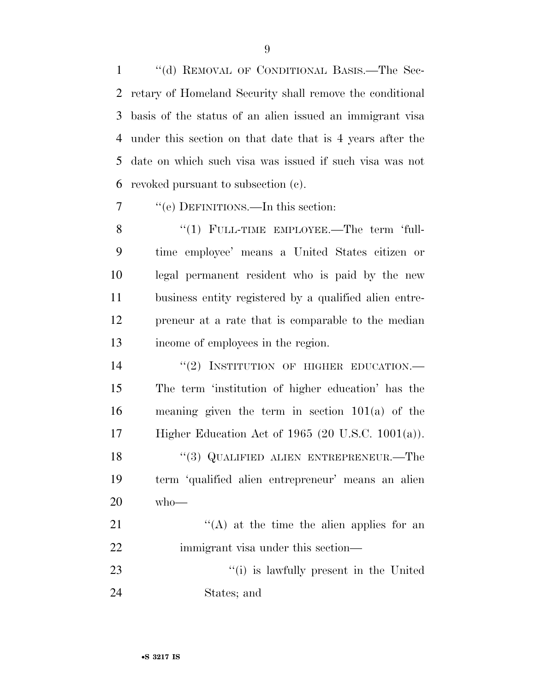''(d) REMOVAL OF CONDITIONAL BASIS.—The Sec- retary of Homeland Security shall remove the conditional basis of the status of an alien issued an immigrant visa under this section on that date that is 4 years after the date on which such visa was issued if such visa was not revoked pursuant to subsection (c).

''(e) DEFINITIONS.—In this section:

8 "(1) FULL-TIME EMPLOYEE.—The term 'full- time employee' means a United States citizen or legal permanent resident who is paid by the new business entity registered by a qualified alien entre- preneur at a rate that is comparable to the median income of employees in the region.

 $(2)$  INSTITUTION OF HIGHER EDUCATION. The term 'institution of higher education' has the meaning given the term in section 101(a) of the Higher Education Act of 1965 (20 U.S.C. 1001(a)). 18 "(3) QUALIFIED ALIEN ENTREPRENEUR.—The term 'qualified alien entrepreneur' means an alien who—  $\langle (A)$  at the time the alien applies for an

22 immigrant visa under this section—

23 ''(i) is lawfully present in the United States; and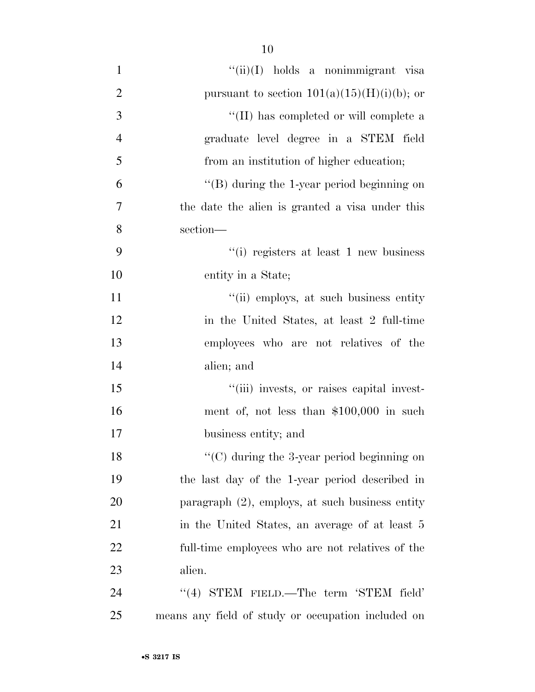| $\mathbf{1}$   | $``(ii)(I)$ holds a nonimmigrant visa              |
|----------------|----------------------------------------------------|
| $\mathbf{2}$   | pursuant to section $101(a)(15)(H)(i)(b)$ ; or     |
| 3              | "(II) has completed or will complete a             |
| $\overline{4}$ | graduate level degree in a STEM field              |
| 5              | from an institution of higher education;           |
| 6              | "(B) during the 1-year period beginning on         |
| 7              | the date the alien is granted a visa under this    |
| 8              | section-                                           |
| 9              | "(i) registers at least 1 new business             |
| 10             | entity in a State;                                 |
| 11             | "(ii) employs, at such business entity             |
| 12             | in the United States, at least 2 full-time         |
| 13             | employees who are not relatives of the             |
| 14             | alien; and                                         |
| 15             | "(iii) invests, or raises capital invest-          |
| 16             | ment of, not less than \$100,000 in such           |
| 17             | business entity; and                               |
| 18             | $\lq\lq$ during the 3-year period beginning on     |
| 19             | the last day of the 1-year period described in     |
| 20             | paragraph $(2)$ , employs, at such business entity |
| 21             | in the United States, an average of at least 5     |
| 22             | full-time employees who are not relatives of the   |
| 23             | alien.                                             |
| 24             | "(4) STEM FIELD.—The term 'STEM field'             |
| 25             | means any field of study or occupation included on |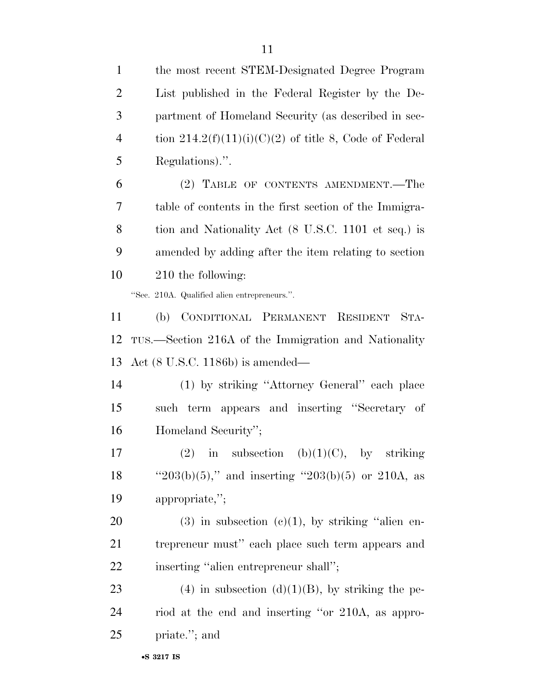| $\mathbf{1}$   | the most recent STEM-Designated Degree Program           |
|----------------|----------------------------------------------------------|
| $\overline{2}$ | List published in the Federal Register by the De-        |
| 3              | partment of Homeland Security (as described in sec-      |
| $\overline{4}$ | tion $214.2(f)(11)(i)(C)(2)$ of title 8, Code of Federal |
| 5              | Regulations).".                                          |
| 6              | (2) TABLE OF CONTENTS AMENDMENT.—The                     |
| 7              | table of contents in the first section of the Immigra-   |
| $8\,$          | tion and Nationality Act (8 U.S.C. 1101 et seq.) is      |
| 9              | amended by adding after the item relating to section     |
| 10             | 210 the following:                                       |
|                | "Sec. 210A. Qualified alien entrepreneurs.".             |
| 11             | CONDITIONAL PERMANENT RESIDENT<br>STA-<br>(b)            |
| 12             | TUS.—Section 216A of the Immigration and Nationality     |
| 13             | Act $(8 \text{ U.S.C. } 1186b)$ is amended—              |
| 14             | (1) by striking "Attorney General" each place            |
| 15             | such term appears and inserting "Secretary of            |
| 16             | Homeland Security";                                      |
| 17             | (2) in subsection (b)(1)(C), by striking                 |
| 18             | " $203(b)(5)$ ," and inserting " $203(b)(5)$ or 210A, as |
| 19             | appropriate,";                                           |
| <b>20</b>      | $(3)$ in subsection $(e)(1)$ , by striking "alien en-    |
| 21             | trepreneur must" each place such term appears and        |
| <u>22</u>      | inserting "alien entrepreneur shall";                    |
| 23             | (4) in subsection (d)(1)(B), by striking the pe-         |
| 24             | riod at the end and inserting "or 210A, as appro-        |
| 25             | priate."; and                                            |
|                |                                                          |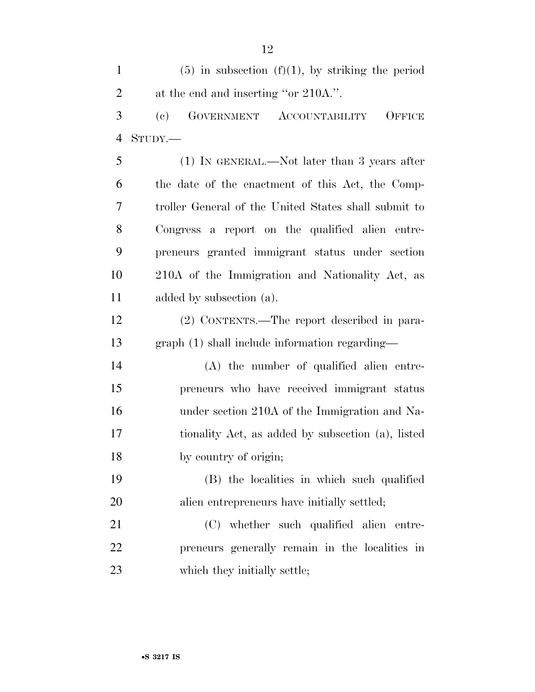1 (5) in subsection  $(f)(1)$ , by striking the period 2 at the end and inserting "or 210A.". (c) GOVERNMENT ACCOUNTABILITY OFFICE STUDY.— (1) IN GENERAL.—Not later than 3 years after the date of the enactment of this Act, the Comp- troller General of the United States shall submit to Congress a report on the qualified alien entre- preneurs granted immigrant status under section 210A of the Immigration and Nationality Act, as added by subsection (a). (2) CONTENTS.—The report described in para- graph (1) shall include information regarding— (A) the number of qualified alien entre- preneurs who have received immigrant status under section 210A of the Immigration and Na- tionality Act, as added by subsection (a), listed by country of origin; (B) the localities in which such qualified alien entrepreneurs have initially settled; (C) whether such qualified alien entre- preneurs generally remain in the localities in 23 which they initially settle;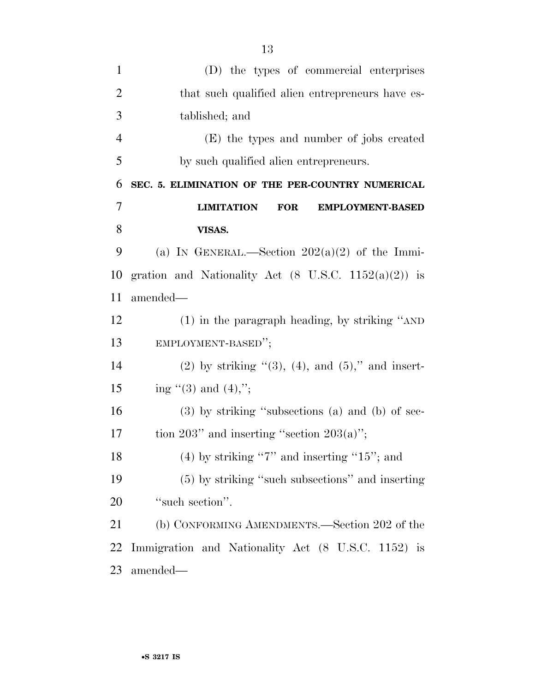| $\mathbf{1}$   | (D) the types of commercial enterprises                         |
|----------------|-----------------------------------------------------------------|
| $\overline{2}$ | that such qualified alien entrepreneurs have es-                |
| 3              | tablished; and                                                  |
| $\overline{4}$ | (E) the types and number of jobs created                        |
| 5              | by such qualified alien entrepreneurs.                          |
| 6              | SEC. 5. ELIMINATION OF THE PER-COUNTRY NUMERICAL                |
| $\overline{7}$ | <b>LIMITATION</b><br><b>FOR</b><br><b>EMPLOYMENT-BASED</b>      |
| 8              | VISAS.                                                          |
| 9              | (a) IN GENERAL.—Section $202(a)(2)$ of the Immi-                |
| 10             | gration and Nationality Act $(8 \text{ U.S.C. } 1152(a)(2))$ is |
| 11             | amended—                                                        |
| 12             | $(1)$ in the paragraph heading, by striking "AND                |
| 13             | EMPLOYMENT-BASED";                                              |
| 14             | $(2)$ by striking " $(3)$ , $(4)$ , and $(5)$ ," and insert-    |
| 15             | ing $(3)$ and $(4)$ ,";                                         |
| 16             | $(3)$ by striking "subsections $(a)$ and $(b)$ of sec-          |
| 17             | tion $203$ " and inserting "section $203(a)$ ";                 |
| 18             | $(4)$ by striking "7" and inserting "15"; and                   |
| 19             | (5) by striking "such subsections" and inserting                |
| 20             | "such section".                                                 |
| 21             | (b) CONFORMING AMENDMENTS.—Section 202 of the                   |
| 22             | Immigration and Nationality Act (8 U.S.C. 1152) is              |
| 23             | amended—                                                        |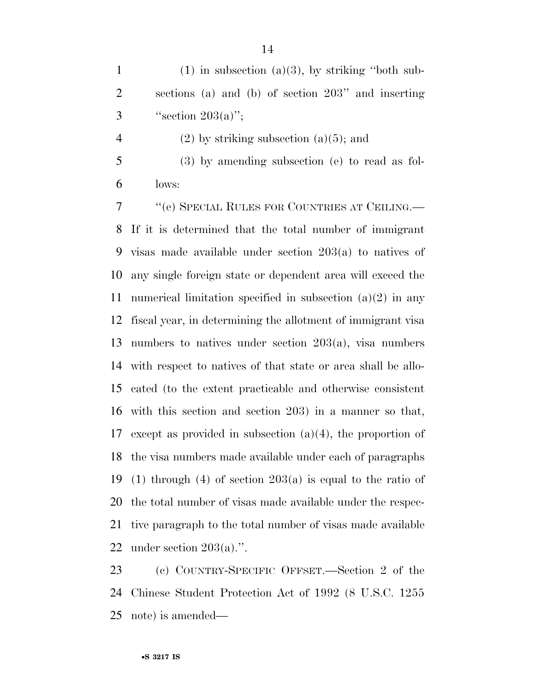3  $"section 203(a)";$ 

- 4 (2) by striking subsection  $(a)(5)$ ; and
- (3) by amending subsection (e) to read as fol-lows:

 ''(e) SPECIAL RULES FOR COUNTRIES AT CEILING.— If it is determined that the total number of immigrant visas made available under section 203(a) to natives of any single foreign state or dependent area will exceed the 11 numerical limitation specified in subsection  $(a)(2)$  in any fiscal year, in determining the allotment of immigrant visa numbers to natives under section 203(a), visa numbers with respect to natives of that state or area shall be allo- cated (to the extent practicable and otherwise consistent with this section and section 203) in a manner so that, except as provided in subsection (a)(4), the proportion of the visa numbers made available under each of paragraphs 19 (1) through (4) of section  $203(a)$  is equal to the ratio of the total number of visas made available under the respec- tive paragraph to the total number of visas made available under section 203(a).''.

 (c) COUNTRY-SPECIFIC OFFSET.—Section 2 of the Chinese Student Protection Act of 1992 (8 U.S.C. 1255 note) is amended—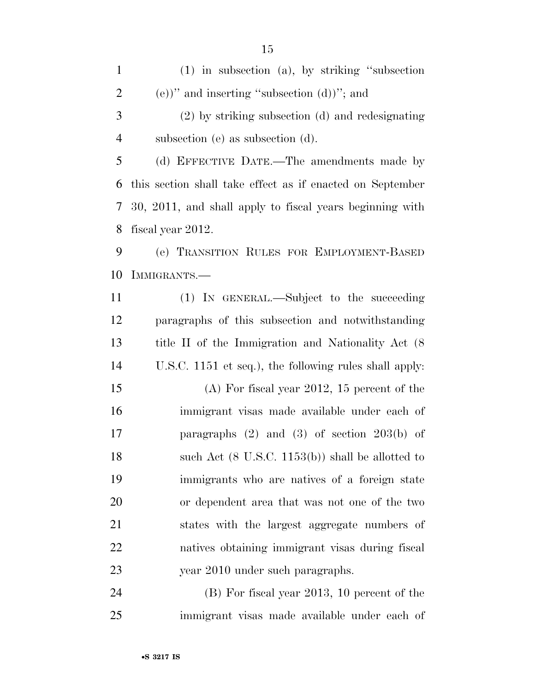(1) in subsection (a), by striking ''subsection 2 (e))" and inserting "subsection  $(d)$ "; and (2) by striking subsection (d) and redesignating subsection (e) as subsection (d). (d) EFFECTIVE DATE.—The amendments made by this section shall take effect as if enacted on September 30, 2011, and shall apply to fiscal years beginning with fiscal year 2012. (e) TRANSITION RULES FOR EMPLOYMENT-BASED IMMIGRANTS.— (1) IN GENERAL.—Subject to the succeeding paragraphs of this subsection and notwithstanding title II of the Immigration and Nationality Act (8 U.S.C. 1151 et seq.), the following rules shall apply: (A) For fiscal year 2012, 15 percent of the immigrant visas made available under each of paragraphs (2) and (3) of section 203(b) of 18 such Act (8 U.S.C. 1153(b)) shall be allotted to immigrants who are natives of a foreign state or dependent area that was not one of the two states with the largest aggregate numbers of natives obtaining immigrant visas during fiscal year 2010 under such paragraphs.

 (B) For fiscal year 2013, 10 percent of the immigrant visas made available under each of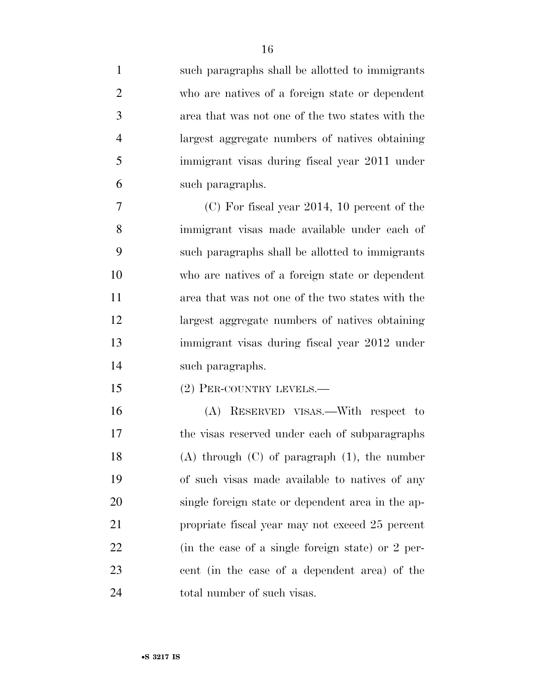such paragraphs shall be allotted to immigrants who are natives of a foreign state or dependent area that was not one of the two states with the largest aggregate numbers of natives obtaining immigrant visas during fiscal year 2011 under such paragraphs. (C) For fiscal year 2014, 10 percent of the immigrant visas made available under each of such paragraphs shall be allotted to immigrants who are natives of a foreign state or dependent area that was not one of the two states with the largest aggregate numbers of natives obtaining immigrant visas during fiscal year 2012 under such paragraphs. (2) PER-COUNTRY LEVELS.— (A) RESERVED VISAS.—With respect to the visas reserved under each of subparagraphs (A) through (C) of paragraph (1), the number of such visas made available to natives of any single foreign state or dependent area in the ap- propriate fiscal year may not exceed 25 percent (in the case of a single foreign state) or 2 per-

cent (in the case of a dependent area) of the

24 total number of such visas.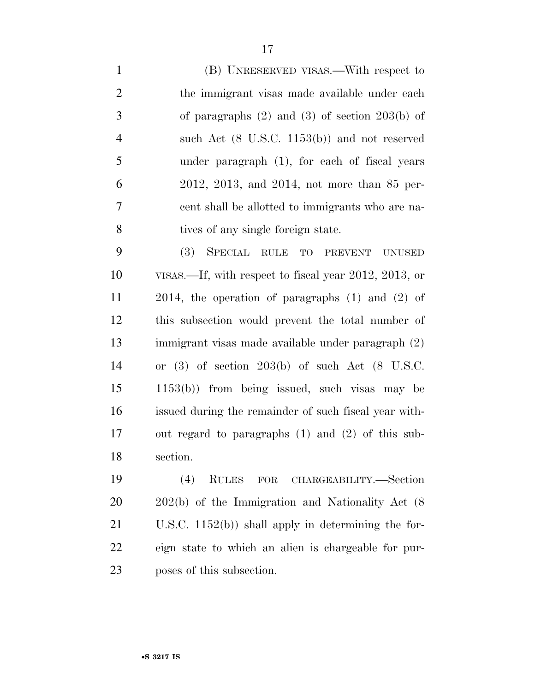(B) UNRESERVED VISAS.—With respect to 2 the immigrant visas made available under each of paragraphs (2) and (3) of section 203(b) of such Act (8 U.S.C. 1153(b)) and not reserved under paragraph (1), for each of fiscal years 2012, 2013, and 2014, not more than 85 per- cent shall be allotted to immigrants who are na-8 tives of any single foreign state.

 (3) SPECIAL RULE TO PREVENT UNUSED VISAS.—If, with respect to fiscal year 2012, 2013, or 2014, the operation of paragraphs (1) and (2) of this subsection would prevent the total number of immigrant visas made available under paragraph (2) or (3) of section 203(b) of such Act (8 U.S.C. 1153(b)) from being issued, such visas may be issued during the remainder of such fiscal year with- out regard to paragraphs (1) and (2) of this sub-section.

 (4) RULES FOR CHARGEABILITY.—Section 202(b) of the Immigration and Nationality Act (8 U.S.C. 1152(b)) shall apply in determining the for- eign state to which an alien is chargeable for pur-poses of this subsection.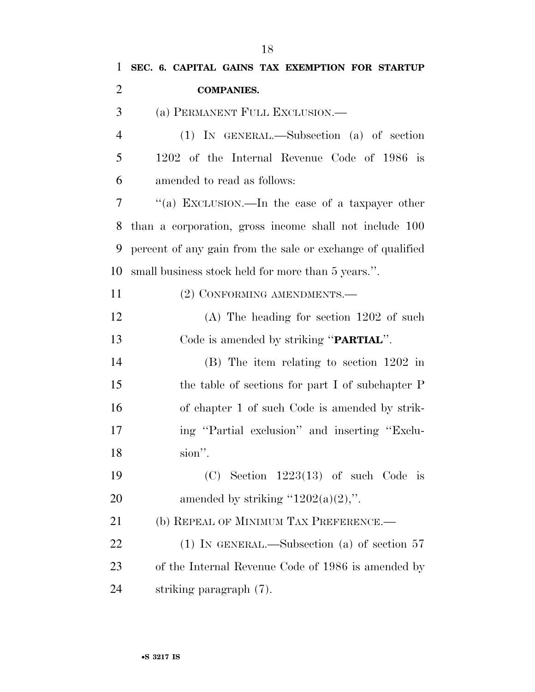| $\mathbf{1}$   | SEC. 6. CAPITAL GAINS TAX EXEMPTION FOR STARTUP            |
|----------------|------------------------------------------------------------|
| $\overline{2}$ | <b>COMPANIES.</b>                                          |
| 3              | (a) PERMANENT FULL EXCLUSION.—                             |
| $\overline{4}$ | $(1)$ IN GENERAL.—Subsection $(a)$ of section              |
| 5              | 1202 of the Internal Revenue Code of 1986 is               |
| 6              | amended to read as follows:                                |
| 7              | "(a) EXCLUSION.—In the case of a taxpayer other            |
| 8              | than a corporation, gross income shall not include 100     |
| 9              | percent of any gain from the sale or exchange of qualified |
| 10             | small business stock held for more than 5 years.".         |
| 11             | (2) CONFORMING AMENDMENTS.-                                |
| 12             | $(A)$ The heading for section 1202 of such                 |
| 13             | Code is amended by striking " <b>PARTIAL</b> ".            |
| 14             | $(B)$ The item relating to section 1202 in                 |
| 15             | the table of sections for part I of subchapter P           |
| 16             | of chapter 1 of such Code is amended by strik-             |
| 17             | ing "Partial exclusion" and inserting "Exclu-              |
| 18             | sion".                                                     |
| 19             | $(C)$ Section 1223(13) of such Code is                     |
| <b>20</b>      | amended by striking " $1202(a)(2)$ ,".                     |
| 21             | (b) REPEAL OF MINIMUM TAX PREFERENCE.—                     |
| 22             | (1) IN GENERAL.—Subsection (a) of section $57$             |
| 23             | of the Internal Revenue Code of 1986 is amended by         |
| 24             | striking paragraph (7).                                    |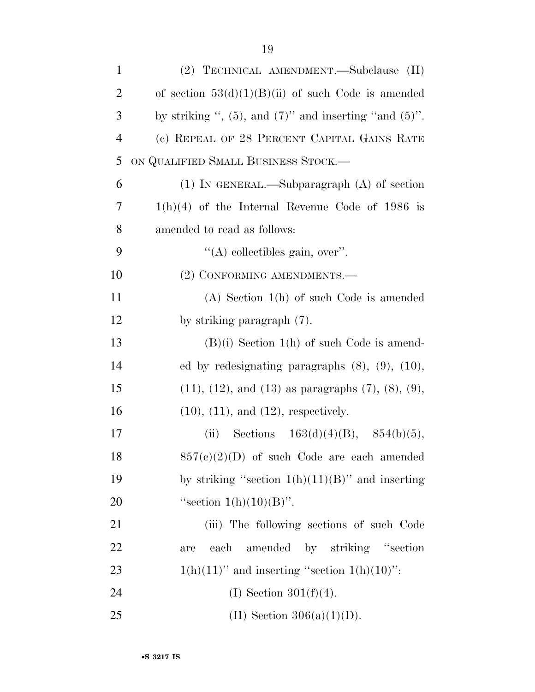| $\mathbf{1}$   | (2) TECHNICAL AMENDMENT.—Subclause (II)                        |
|----------------|----------------------------------------------------------------|
| $\overline{2}$ | of section $53(d)(1)(B)(ii)$ of such Code is amended           |
| 3              | by striking ", $(5)$ , and $(7)$ " and inserting "and $(5)$ ". |
| $\overline{4}$ | (c) REPEAL OF 28 PERCENT CAPITAL GAINS RATE                    |
| 5              | ON QUALIFIED SMALL BUSINESS STOCK.-                            |
| 6              | $(1)$ In GENERAL.—Subparagraph $(A)$ of section                |
| 7              | $1(h)(4)$ of the Internal Revenue Code of 1986 is              |
| 8              | amended to read as follows:                                    |
| 9              | $\lq\lq$ collectibles gain, over".                             |
| 10             | (2) CONFORMING AMENDMENTS.-                                    |
| 11             | $(A)$ Section $1(h)$ of such Code is amended                   |
| 12             | by striking paragraph (7).                                     |
| 13             | $(B)(i)$ Section 1(h) of such Code is amend-                   |
| 14             | ed by redesignating paragraphs $(8)$ , $(9)$ , $(10)$ ,        |
| 15             | $(11), (12),$ and $(13)$ as paragraphs $(7), (8), (9),$        |
| 16             | $(10)$ , $(11)$ , and $(12)$ , respectively.                   |
| 17             | Sections $163(d)(4)(B)$ , $854(b)(5)$ ,<br>(ii)                |
| 18             | $857(c)(2)(D)$ of such Code are each amended                   |
| 19             | by striking "section $1(h)(11)(B)$ " and inserting             |
| 20             | "section $1(h)(10)(B)$ ".                                      |
| 21             | (iii) The following sections of such Code                      |
| 22             | amended by striking "section"<br>each<br>are                   |
| 23             | $1(h)(11)$ " and inserting "section $1(h)(10)$ ":              |
| 24             | (I) Section $301(f)(4)$ .                                      |
| 25             | (II) Section $306(a)(1)(D)$ .                                  |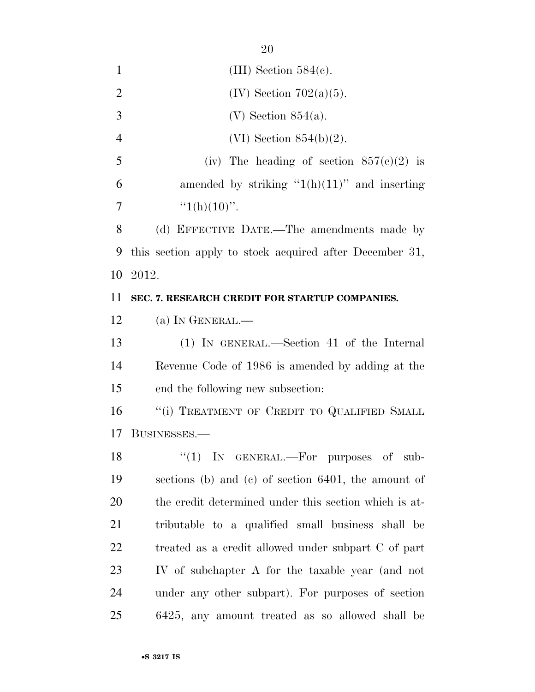| $\mathbf{1}$   | (III) Section $584(c)$ .                                |
|----------------|---------------------------------------------------------|
| $\overline{2}$ | $(IV)$ Section 702 $(a)(5)$ .                           |
| 3              | $(V)$ Section 854(a).                                   |
| $\overline{4}$ | $(VI)$ Section 854(b)(2).                               |
| 5              | (iv) The heading of section $857(c)(2)$ is              |
| 6              | amended by striking " $1(h)(11)$ " and inserting        |
| 7              | " $1(h)(10)$ ".                                         |
| 8              | (d) EFFECTIVE DATE.—The amendments made by              |
| 9              | this section apply to stock acquired after December 31, |
| 10             | 2012.                                                   |
| 11             | SEC. 7. RESEARCH CREDIT FOR STARTUP COMPANIES.          |
| 12             | (a) IN GENERAL.—                                        |
| 13             | (1) IN GENERAL.—Section 41 of the Internal              |
| 14             | Revenue Code of 1986 is amended by adding at the        |
| 15             | end the following new subsection:                       |
| 16             | "(i) TREATMENT OF CREDIT TO QUALIFIED SMALL             |
| 17             | BUSINESSES.-                                            |
| 18             | " $(1)$ IN GENERAL.—For purposes of sub-                |
| 19             | sections (b) and (c) of section 6401, the amount of     |
| 20             | the credit determined under this section which is at-   |
| 21             | tributable to a qualified small business shall be       |
| 22             | treated as a credit allowed under subpart C of part     |
| 23             | IV of subchapter A for the taxable year (and not        |
| 24             | under any other subpart). For purposes of section       |
| 25             | 6425, any amount treated as so allowed shall be         |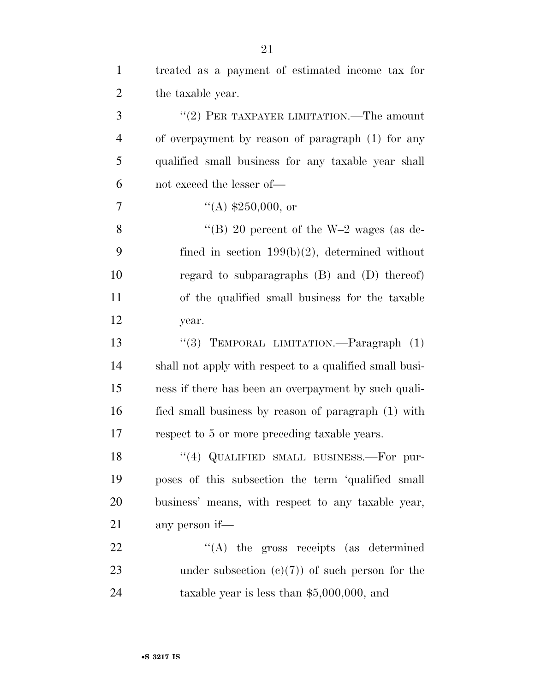| $\mathbf{1}$   | treated as a payment of estimated income tax for        |
|----------------|---------------------------------------------------------|
| $\overline{2}$ | the taxable year.                                       |
| 3              | "(2) PER TAXPAYER LIMITATION.—The amount                |
| $\overline{4}$ | of overpayment by reason of paragraph (1) for any       |
| 5              | qualified small business for any taxable year shall     |
| 6              | not exceed the lesser of-                               |
| $\overline{7}$ | $\lq($ A) \$250,000, or                                 |
| 8              | "(B) 20 percent of the $W-2$ wages (as de-              |
| 9              | fined in section $199(b)(2)$ , determined without       |
| 10             | regard to subparagraphs $(B)$ and $(D)$ thereof)        |
| 11             | of the qualified small business for the taxable         |
| 12             | year.                                                   |
| 13             | "(3) TEMPORAL LIMITATION.—Paragraph $(1)$               |
| 14             | shall not apply with respect to a qualified small busi- |
| 15             | ness if there has been an overpayment by such quali-    |
| 16             | fied small business by reason of paragraph (1) with     |
| 17             | respect to 5 or more preceding taxable years.           |
| 18             | "(4) QUALIFIED SMALL BUSINESS.—For pur-                 |
| 19             | poses of this subsection the term 'qualified small      |
| 20             | business' means, with respect to any taxable year,      |
| 21             | any person if—                                          |
| 22             | $\lq\lq$ the gross receipts (as determined              |
| 23             | under subsection $(c)(7)$ of such person for the        |
| 24             | taxable year is less than $$5,000,000$ , and            |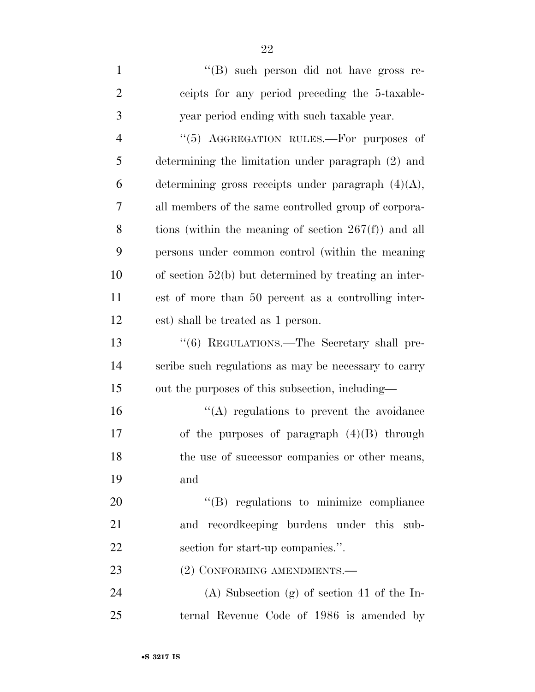| $\mathbf{1}$   | "(B) such person did not have gross re-                 |
|----------------|---------------------------------------------------------|
| $\overline{2}$ | ceipts for any period preceding the 5-taxable-          |
| 3              | year period ending with such taxable year.              |
| $\overline{4}$ | "(5) AGGREGATION RULES.-For purposes of                 |
| 5              | determining the limitation under paragraph (2) and      |
| 6              | determining gross receipts under paragraph $(4)(A)$ ,   |
| $\overline{7}$ | all members of the same controlled group of corpora-    |
| 8              | tions (within the meaning of section $267(f)$ ) and all |
| 9              | persons under common control (within the meaning        |
| 10             | of section $52(b)$ but determined by treating an inter- |
| 11             | est of more than 50 percent as a controlling inter-     |
| 12             | est) shall be treated as 1 person.                      |
| 13             | "(6) REGULATIONS.—The Secretary shall pre-              |
| 14             | scribe such regulations as may be necessary to carry    |
| 15             | out the purposes of this subsection, including—         |
| 16             | $\lq\lq$ regulations to prevent the avoidance           |
| 17             | of the purposes of paragraph $(4)(B)$ through           |
| 18             | the use of successor companies or other means,          |
| 19             | and                                                     |
| 20             | "(B) regulations to minimize compliance                 |
| 21             | and record keeping burdens under this sub-              |
| 22             | section for start-up companies.".                       |
| 23             | (2) CONFORMING AMENDMENTS.-                             |
| 24             | $(A)$ Subsection $(g)$ of section 41 of the In-         |
| 25             | ternal Revenue Code of 1986 is amended by               |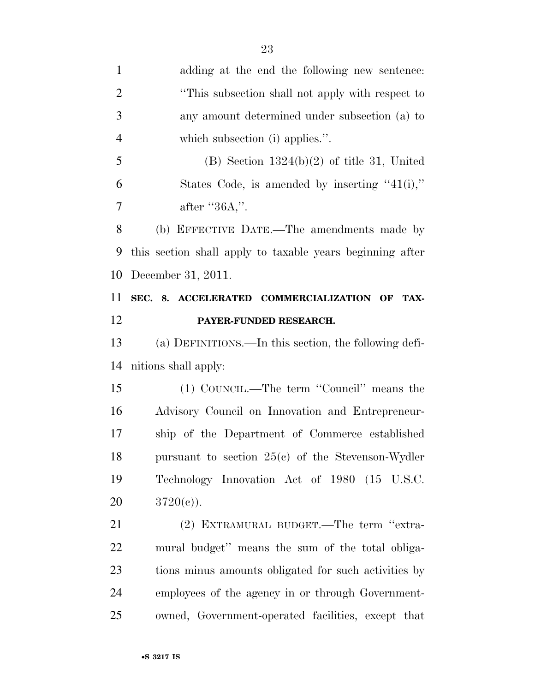adding at the end the following new sentence: 2 <sup>"This subsection shall not apply with respect to"</sup> any amount determined under subsection (a) to which subsection (i) applies.''. 5 (B) Section  $1324(b)(2)$  of title 31, United States Code, is amended by inserting ''41(i),'' 7 after "36A,". (b) EFFECTIVE DATE.—The amendments made by this section shall apply to taxable years beginning after December 31, 2011. **SEC. 8. ACCELERATED COMMERCIALIZATION OF TAX- PAYER-FUNDED RESEARCH.**  (a) DEFINITIONS.—In this section, the following defi- nitions shall apply: (1) COUNCIL.—The term ''Council'' means the Advisory Council on Innovation and Entrepreneur- ship of the Department of Commerce established pursuant to section 25(c) of the Stevenson-Wydler Technology Innovation Act of 1980 (15 U.S.C. 20  $3720(e)$ . 21 (2) EXTRAMURAL BUDGET.—The term "extra- mural budget'' means the sum of the total obliga- tions minus amounts obligated for such activities by employees of the agency in or through Government-owned, Government-operated facilities, except that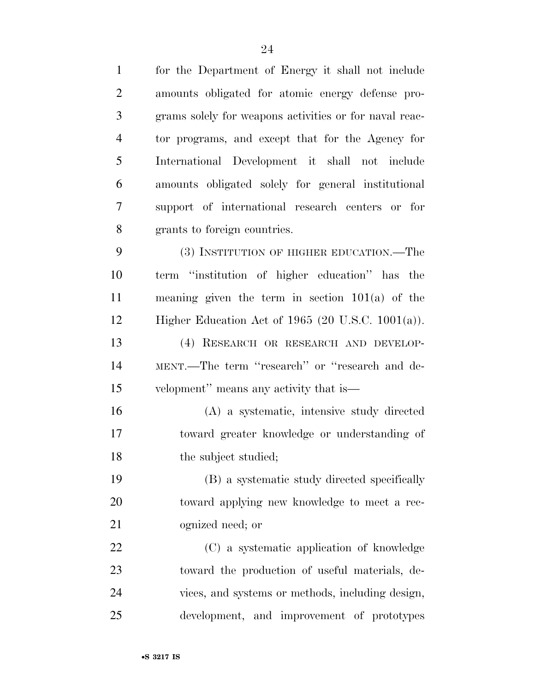| $\mathbf{1}$   | for the Department of Energy it shall not include      |
|----------------|--------------------------------------------------------|
| $\overline{2}$ | amounts obligated for atomic energy defense pro-       |
| 3              | grams solely for weapons activities or for naval reac- |
| $\overline{4}$ | tor programs, and except that for the Agency for       |
| 5              | International Development it shall not include         |
| 6              | amounts obligated solely for general institutional     |
| 7              | support of international research centers or for       |
| 8              | grants to foreign countries.                           |
| 9              | (3) INSTITUTION OF HIGHER EDUCATION.—The               |
| 10             | term "institution of higher education" has the         |
| 11             | meaning given the term in section $101(a)$ of the      |
| 12             | Higher Education Act of 1965 (20 U.S.C. $1001(a)$ ).   |
| 13             | (4) RESEARCH OR RESEARCH AND DEVELOP-                  |
| 14             | MENT.—The term "research" or "research and de-         |
| 15             | velopment" means any activity that is—                 |
| 16             | (A) a systematic, intensive study directed             |
| 17             | toward greater knowledge or understanding of           |
| 18             | the subject studied;                                   |
| 19             | (B) a systematic study directed specifically           |
| 20             | toward applying new knowledge to meet a rec-           |
| 21             | ognized need; or                                       |
| 22             | (C) a systematic application of knowledge              |
| 23             | toward the production of useful materials, de-         |
| 24             | vices, and systems or methods, including design,       |
| 25             | development, and improvement of prototypes             |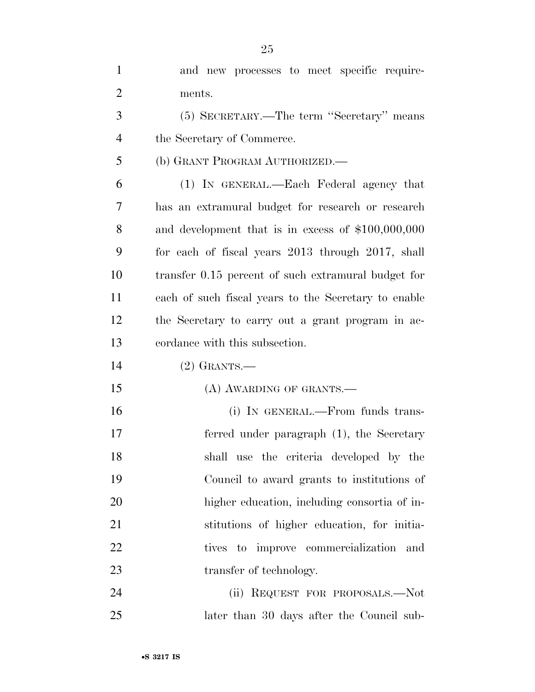| $\mathbf{1}$   | and new processes to meet specific require-          |
|----------------|------------------------------------------------------|
| $\overline{c}$ | ments.                                               |
| 3              | (5) SECRETARY.—The term "Secretary" means            |
| 4              | the Secretary of Commerce.                           |
| 5              | (b) GRANT PROGRAM AUTHORIZED.                        |
| 6              | (1) IN GENERAL.—Each Federal agency that             |
| 7              | has an extramural budget for research or research    |
| 8              | and development that is in excess of $$100,000,000$  |
| 9              | for each of fiscal years 2013 through 2017, shall    |
| 10             | transfer 0.15 percent of such extramural budget for  |
| 11             | each of such fiscal years to the Secretary to enable |
| 12             | the Secretary to carry out a grant program in ac-    |
| 13             | cordance with this subsection.                       |
| 14             | $(2)$ GRANTS.—                                       |
| 15             | (A) AWARDING OF GRANTS.—                             |
| 16             | (i) IN GENERAL.—From funds trans-                    |
| 17             | ferred under paragraph (1), the Secretary            |
| 18             | shall use the criteria developed by the              |
| 19             | Council to award grants to institutions of           |
| 20             | higher education, including consortia of in-         |
| 21             | stitutions of higher education, for initia-          |
| 22             | tives to improve commercialization<br>and            |
| 23             | transfer of technology.                              |
| 24             | (ii) REQUEST FOR PROPOSALS.—Not                      |
| 25             | later than 30 days after the Council sub-            |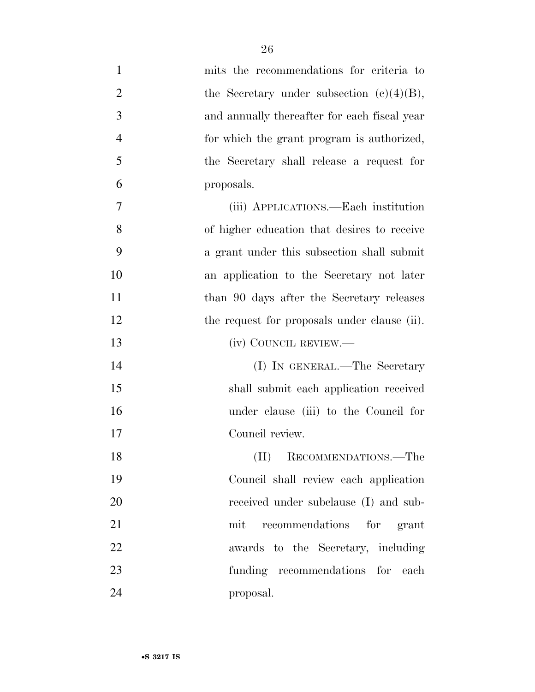| $\mathbf{1}$   | mits the recommendations for criteria to     |
|----------------|----------------------------------------------|
| $\overline{2}$ | the Secretary under subsection $(c)(4)(B)$ , |
| 3              | and annually thereafter for each fiscal year |
| $\overline{4}$ | for which the grant program is authorized,   |
| 5              | the Secretary shall release a request for    |
| 6              | proposals.                                   |
| $\overline{7}$ | (iii) APPLICATIONS.—Each institution         |
| 8              | of higher education that desires to receive  |
| 9              | a grant under this subsection shall submit   |
| 10             | an application to the Secretary not later    |
| 11             | than 90 days after the Secretary releases    |
| 12             | the request for proposals under clause (ii). |
| 13             | (iv) COUNCIL REVIEW.—                        |
| 14             | (I) IN GENERAL.—The Secretary                |
| 15             | shall submit each application received       |
| 16             | under clause (iii) to the Council for        |
| 17             | Council review.                              |
| 18             | (II)<br>RECOMMENDATIONS.—The                 |
| 19             | Council shall review each application        |
| 20             | received under subclause (I) and sub-        |
| 21             | recommendations for grant<br>mit             |
| 22             | awards to the Secretary, including           |
| 23             | funding recommendations for each             |
| 24             | proposal.                                    |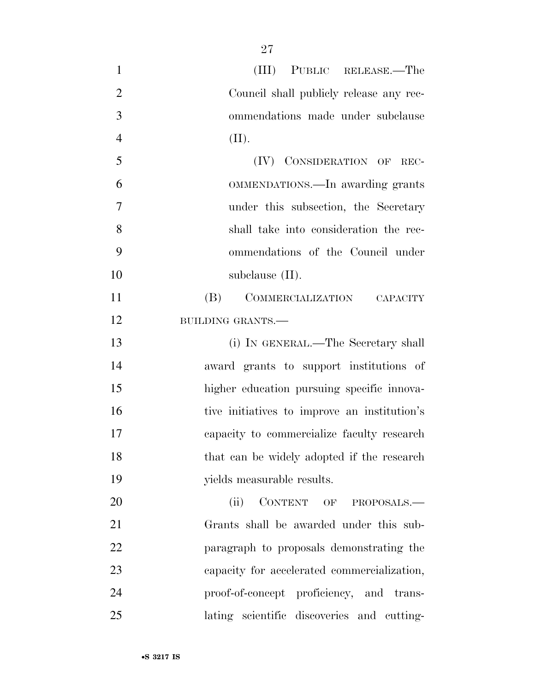| $\mathbf{1}$   | (III) PUBLIC RELEASE.—The                    |
|----------------|----------------------------------------------|
| $\overline{2}$ | Council shall publicly release any rec-      |
| 3              | ommendations made under subclause            |
| $\overline{4}$ | (II).                                        |
| 5              | (IV) CONSIDERATION OF REC-                   |
| 6              | OMMENDATIONS.—In awarding grants             |
| $\overline{7}$ | under this subsection, the Secretary         |
| 8              | shall take into consideration the rec-       |
| 9              | ommendations of the Council under            |
| 10             | subclause $(II)$ .                           |
| 11             | (B)<br>COMMERCIALIZATION CAPACITY            |
| 12             | <b>BUILDING GRANTS.-</b>                     |
| 13             | (i) IN GENERAL.—The Secretary shall          |
| 14             | award grants to support institutions of      |
| 15             | higher education pursuing specific innova-   |
| 16             | tive initiatives to improve an institution's |
| 17             | capacity to commercialize faculty research   |
| 18             | that can be widely adopted if the research   |
| 19             | yields measurable results.                   |
| 20             | CONTENT OF PROPOSALS.-<br>(ii)               |
| 21             | Grants shall be awarded under this sub-      |
| 22             | paragraph to proposals demonstrating the     |
| 23             | capacity for accelerated commercialization,  |
| 24             | proof-of-concept proficiency, and trans-     |
| 25             | lating scientific discoveries and cutting-   |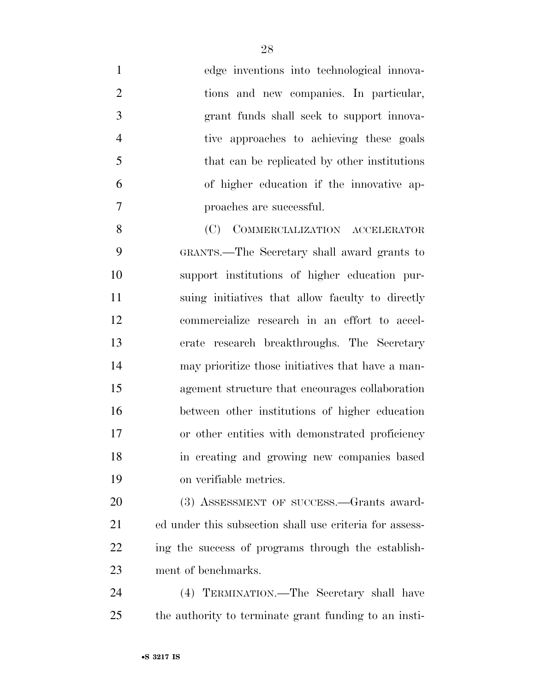| $\mathbf{1}$   | edge inventions into technological innova-              |
|----------------|---------------------------------------------------------|
| $\overline{2}$ | tions and new companies. In particular,                 |
| 3              | grant funds shall seek to support innova-               |
| $\overline{4}$ | tive approaches to achieving these goals                |
| 5              | that can be replicated by other institutions            |
| 6              | of higher education if the innovative ap-               |
| 7              | proaches are successful.                                |
| 8              | (C) COMMERCIALIZATION ACCELERATOR                       |
| 9              | GRANTS.—The Secretary shall award grants to             |
| 10             | support institutions of higher education pur-           |
| 11             | suing initiatives that allow faculty to directly        |
| 12             | commercialize research in an effort to accel-           |
| 13             | erate research breakthroughs. The Secretary             |
| 14             | may prioritize those initiatives that have a man-       |
| 15             | agement structure that encourages collaboration         |
| 16             | between other institutions of higher education          |
| 17             | or other entities with demonstrated proficiency         |
| 18             | in creating and growing new companies based             |
| 19             | on verifiable metrics.                                  |
| 20             | (3) ASSESSMENT OF SUCCESS.—Grants award-                |
| 21             | ed under this subsection shall use criteria for assess- |
| 22             | ing the success of programs through the establish-      |
| 23             | ment of benchmarks.                                     |
| 24             | (4) TERMINATION.—The Secretary shall have               |
| 25             | the authority to terminate grant funding to an insti-   |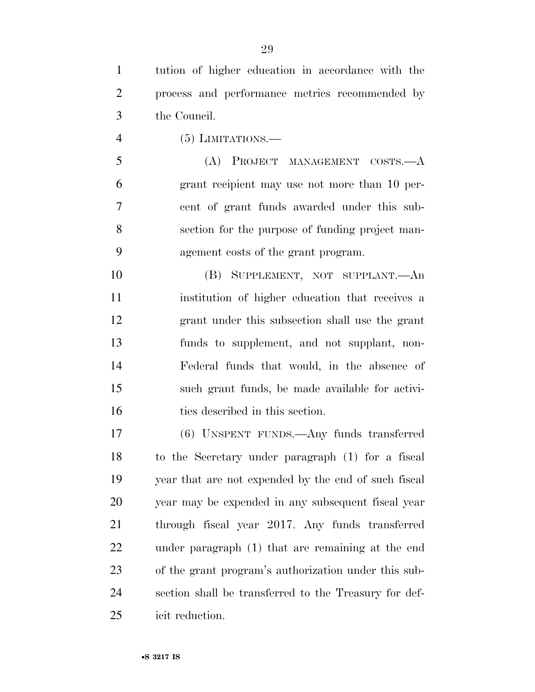tution of higher education in accordance with the process and performance metrics recommended by the Council.

(5) LIMITATIONS.—

5 (A) PROJECT MANAGEMENT COSTS.—A grant recipient may use not more than 10 per- cent of grant funds awarded under this sub- section for the purpose of funding project man-agement costs of the grant program.

 (B) SUPPLEMENT, NOT SUPPLANT.—An institution of higher education that receives a grant under this subsection shall use the grant funds to supplement, and not supplant, non- Federal funds that would, in the absence of such grant funds, be made available for activi-16 ties described in this section.

 (6) UNSPENT FUNDS.—Any funds transferred to the Secretary under paragraph (1) for a fiscal year that are not expended by the end of such fiscal year may be expended in any subsequent fiscal year through fiscal year 2017. Any funds transferred under paragraph (1) that are remaining at the end of the grant program's authorization under this sub- section shall be transferred to the Treasury for def-icit reduction.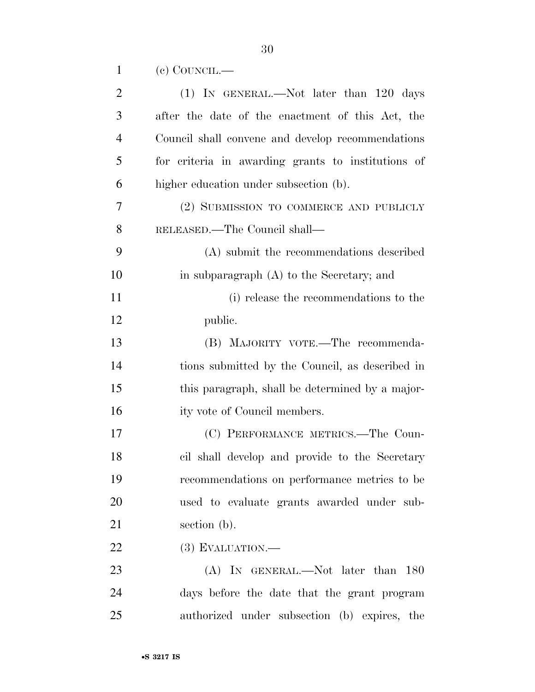|  | $(e)$ COUNCIL.— |
|--|-----------------|
|--|-----------------|

| $\overline{2}$ | $(1)$ IN GENERAL.—Not later than 120 days          |
|----------------|----------------------------------------------------|
| 3              | after the date of the enactment of this Act, the   |
| $\overline{4}$ | Council shall convene and develop recommendations  |
| 5              | for criteria in awarding grants to institutions of |
| 6              | higher education under subsection (b).             |
| 7              | (2) SUBMISSION TO COMMERCE AND PUBLICLY            |
| 8              | RELEASED.—The Council shall—                       |
| 9              | (A) submit the recommendations described           |
| 10             | in subparagraph $(A)$ to the Secretary; and        |
| 11             | (i) release the recommendations to the             |
| 12             | public.                                            |
| 13             | (B) MAJORITY VOTE.—The recommenda-                 |
| 14             | tions submitted by the Council, as described in    |
| 15             | this paragraph, shall be determined by a major-    |
| 16             | ity vote of Council members.                       |
| 17             | (C) PERFORMANCE METRICS.—The Coun-                 |
| 18             | cil shall develop and provide to the Secretary     |
| 19             | recommendations on performance metrics to be       |
| 20             | used to evaluate grants awarded under sub-         |
| 21             | section (b).                                       |
| 22             | $(3)$ EVALUATION.—                                 |
| 23             | (A) IN GENERAL.—Not later than 180                 |
| 24             | days before the date that the grant program        |
| 25             | authorized under subsection (b) expires, the       |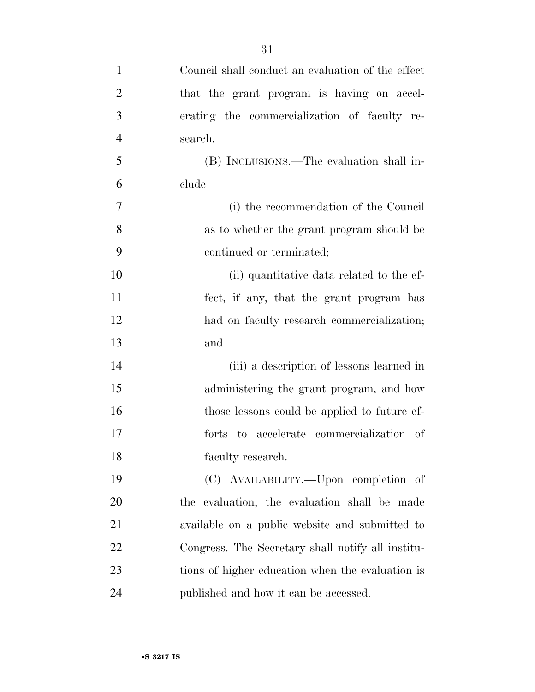| $\mathbf{1}$   | Council shall conduct an evaluation of the effect |
|----------------|---------------------------------------------------|
| $\overline{2}$ | that the grant program is having on accel-        |
| 3              | erating the commercialization of faculty re-      |
| $\overline{4}$ | search.                                           |
| 5              | (B) INCLUSIONS.—The evaluation shall in-          |
| 6              | clude—                                            |
| 7              | (i) the recommendation of the Council             |
| 8              | as to whether the grant program should be         |
| 9              | continued or terminated;                          |
| 10             | (ii) quantitative data related to the ef-         |
| 11             | fect, if any, that the grant program has          |
| 12             | had on faculty research commercialization;        |
| 13             | and                                               |
| 14             | (iii) a description of lessons learned in         |
| 15             | administering the grant program, and how          |
| 16             | those lessons could be applied to future ef-      |
| 17             | forts to accelerate commercialization of          |
| 18             | faculty research.                                 |
| 19             | (C) AVAILABILITY.—Upon completion of              |
| 20             | the evaluation, the evaluation shall be made      |
| 21             | available on a public website and submitted to    |
| 22             | Congress. The Secretary shall notify all institu- |
| 23             | tions of higher education when the evaluation is  |
| 24             | published and how it can be accessed.             |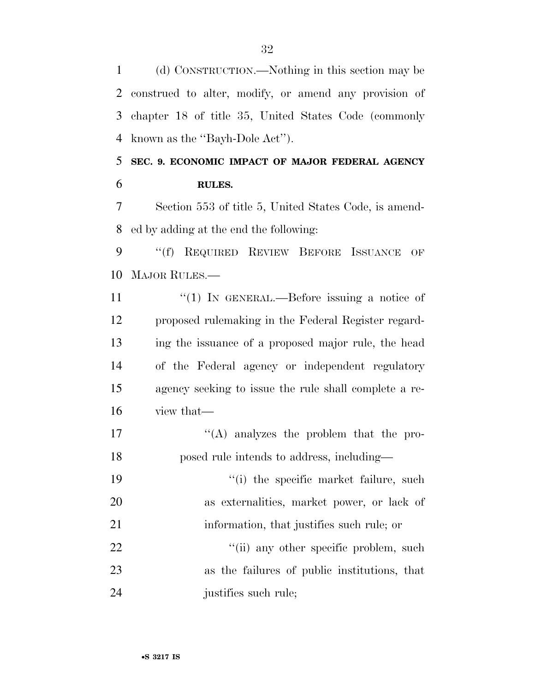(d) CONSTRUCTION.—Nothing in this section may be construed to alter, modify, or amend any provision of chapter 18 of title 35, United States Code (commonly known as the ''Bayh-Dole Act'').

 **SEC. 9. ECONOMIC IMPACT OF MAJOR FEDERAL AGENCY RULES.** 

 Section 553 of title 5, United States Code, is amend-ed by adding at the end the following:

 ''(f) REQUIRED REVIEW BEFORE ISSUANCE OF MAJOR RULES.—

 $\frac{1}{1}$  IN GENERAL.—Before issuing a notice of proposed rulemaking in the Federal Register regard- ing the issuance of a proposed major rule, the head of the Federal agency or independent regulatory agency seeking to issue the rule shall complete a re-view that—

- 17  $\langle (A)$  analyzes the problem that the pro-posed rule intends to address, including—
- 19  $\frac{1}{2}$  the specific market failure, such as externalities, market power, or lack of 21 information, that justifies such rule; or

22  $\frac{1}{2}$   $\frac{1}{2}$   $\frac{1}{2}$   $\frac{1}{2}$  any other specific problem, such as the failures of public institutions, that justifies such rule;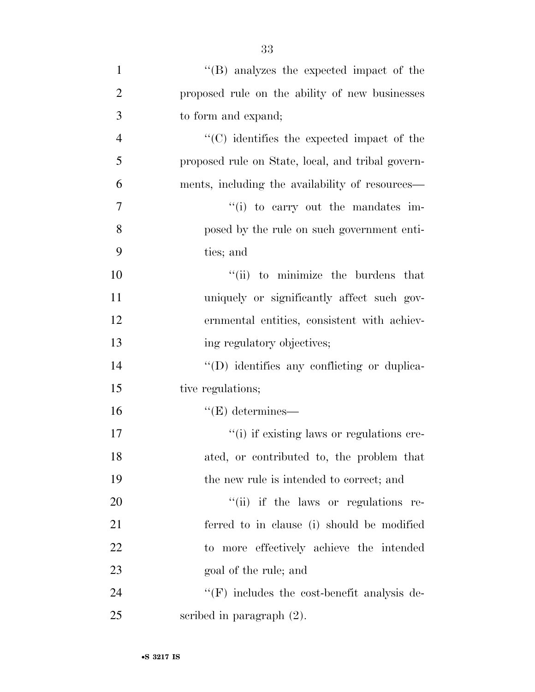| $\mathbf{1}$   | $\lq\lq$ (B) analyzes the expected impact of the   |
|----------------|----------------------------------------------------|
| $\overline{2}$ | proposed rule on the ability of new businesses     |
| 3              | to form and expand;                                |
| $\overline{4}$ | $\cdot$ (C) identifies the expected impact of the  |
| 5              | proposed rule on State, local, and tribal govern-  |
| 6              | ments, including the availability of resources—    |
| 7              | "(i) to carry out the mandates im-                 |
| 8              | posed by the rule on such government enti-         |
| 9              | ties; and                                          |
| 10             | "(ii) to minimize the burdens that                 |
| 11             | uniquely or significantly affect such gov-         |
| 12             | ernmental entities, consistent with achiev-        |
| 13             | ing regulatory objectives;                         |
| 14             | "(D) identifies any conflicting or duplica-        |
| 15             | tive regulations;                                  |
| 16             | $\lq\lq(E)$ determines—                            |
| 17             | "(i) if existing laws or regulations cre-          |
| 18             | ated, or contributed to, the problem that          |
| 19             | the new rule is intended to correct; and           |
| 20             | "(ii) if the laws or regulations re-               |
| 21             | ferred to in clause (i) should be modified         |
| 22             | to more effectively achieve the intended           |
| 23             | goal of the rule; and                              |
| 24             | $\lq\lq(F)$ includes the cost-benefit analysis de- |
| 25             | scribed in paragraph $(2)$ .                       |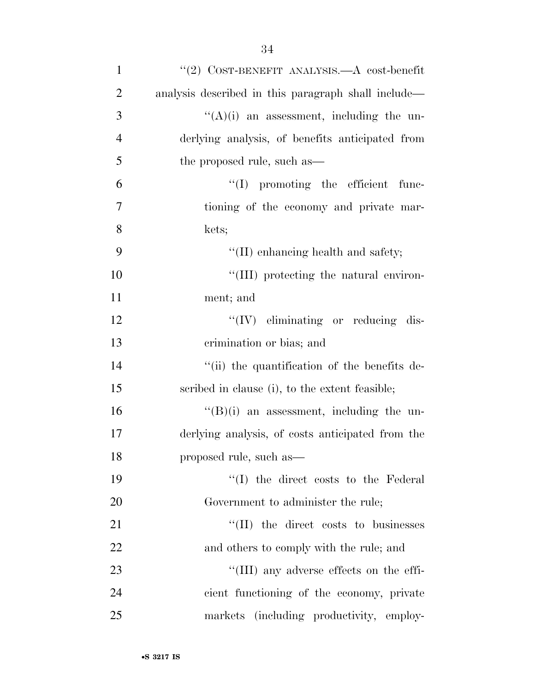| $\mathbf{1}$   | "(2) COST-BENEFIT ANALYSIS.— $A$ cost-benefit       |
|----------------|-----------------------------------------------------|
| $\overline{2}$ | analysis described in this paragraph shall include— |
| 3              | $\lq\lq$ (A)(i) an assessment, including the un-    |
| $\overline{4}$ | derlying analysis, of benefits anticipated from     |
| 5              | the proposed rule, such as—                         |
| 6              | $\lq\lq$ promoting the efficient func-              |
| $\tau$         | tioning of the economy and private mar-             |
| 8              | kets;                                               |
| 9              | "(II) enhancing health and safety;                  |
| 10             | "(III) protecting the natural environ-              |
| 11             | ment; and                                           |
| 12             | $\lq\lq (IV)$ eliminating or reducing dis-          |
| 13             | crimination or bias; and                            |
| 14             | "(ii) the quantification of the benefits de-        |
| 15             | scribed in clause (i), to the extent feasible;      |
| 16             | $\lq\lq(B)(i)$ an assessment, including the un-     |
| 17             | derlying analysis, of costs anticipated from the    |
| 18             | proposed rule, such as—                             |
| 19             | "(I) the direct costs to the Federal"               |
| 20             | Government to administer the rule;                  |
| 21             | $\lq\lq$ (II) the direct costs to businesses        |
| 22             | and others to comply with the rule; and             |
| 23             | "(III) any adverse effects on the effi-             |
| 24             | cient functioning of the economy, private           |
| 25             | markets (including productivity, employ-            |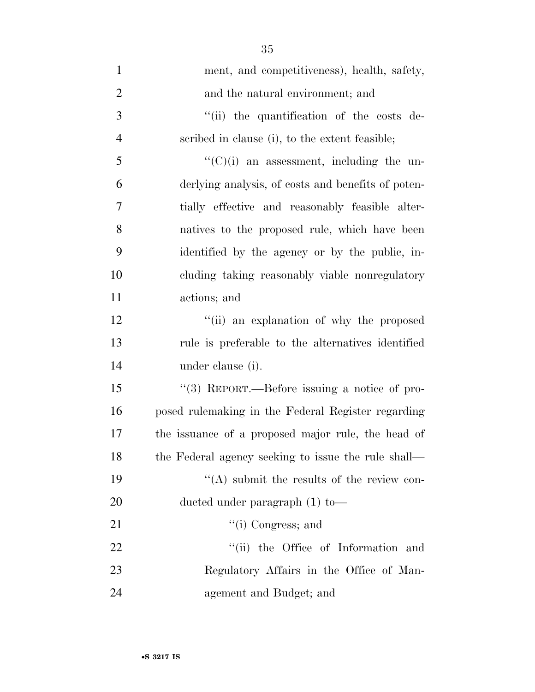| $\mathbf{1}$   | ment, and competitiveness), health, safety,         |
|----------------|-----------------------------------------------------|
| $\overline{2}$ | and the natural environment; and                    |
| 3              | "(ii) the quantification of the costs de-           |
| $\overline{4}$ | scribed in clause (i), to the extent feasible;      |
| 5              | $\lq\lq$ (C)(i) an assessment, including the un-    |
| 6              | derlying analysis, of costs and benefits of poten-  |
| $\overline{7}$ | tially effective and reasonably feasible alter-     |
| 8              | natives to the proposed rule, which have been       |
| 9              | identified by the agency or by the public, in-      |
| 10             | cluding taking reasonably viable nonregulatory      |
| 11             | actions; and                                        |
| 12             | "(ii) an explanation of why the proposed            |
| 13             | rule is preferable to the alternatives identified   |
| 14             | under clause (i).                                   |
| 15             | "(3) REPORT.—Before issuing a notice of pro-        |
| 16             | posed rulemaking in the Federal Register regarding  |
| 17             | the issuance of a proposed major rule, the head of  |
| 18             | the Federal agency seeking to issue the rule shall— |
| 19             | $\lq\lq$ submit the results of the review con-      |
| 20             | ducted under paragraph $(1)$ to-                    |
| 21             | $\lq\lq$ (i) Congress; and                          |
| 22             | "(ii) the Office of Information and                 |
| 23             | Regulatory Affairs in the Office of Man-            |
| 24             | agement and Budget; and                             |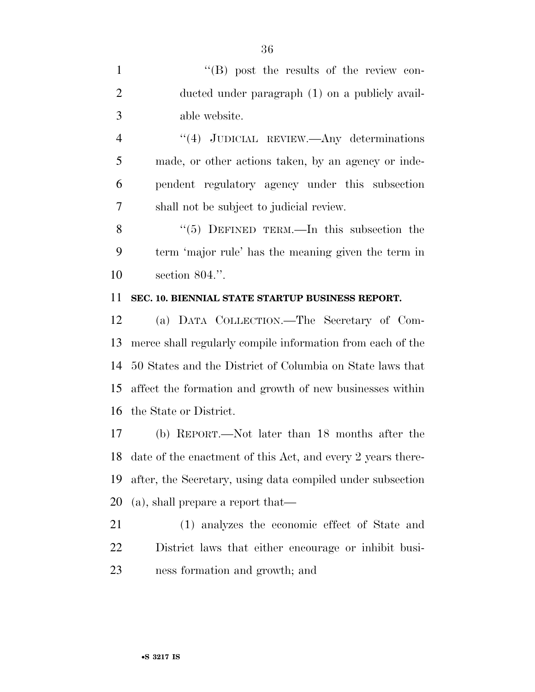1 ''(B) post the results of the review con- ducted under paragraph (1) on a publicly avail-able website.

 ''(4) JUDICIAL REVIEW.—Any determinations made, or other actions taken, by an agency or inde- pendent regulatory agency under this subsection shall not be subject to judicial review.

8 "(5) DEFINED TERM.—In this subsection the term 'major rule' has the meaning given the term in section 804.''.

#### **SEC. 10. BIENNIAL STATE STARTUP BUSINESS REPORT.**

 (a) DATA COLLECTION.—The Secretary of Com- merce shall regularly compile information from each of the 50 States and the District of Columbia on State laws that affect the formation and growth of new businesses within the State or District.

 (b) REPORT.—Not later than 18 months after the date of the enactment of this Act, and every 2 years there- after, the Secretary, using data compiled under subsection (a), shall prepare a report that—

 (1) analyzes the economic effect of State and District laws that either encourage or inhibit busi-ness formation and growth; and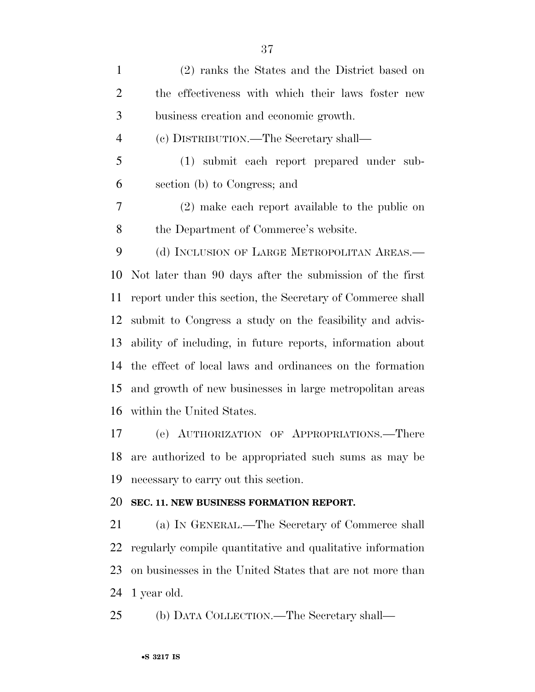| $\mathbf{1}$   | (2) ranks the States and the District based on             |
|----------------|------------------------------------------------------------|
| $\overline{2}$ | the effectiveness with which their laws foster new         |
| 3              | business creation and economic growth.                     |
| $\overline{4}$ | (c) DISTRIBUTION.—The Secretary shall—                     |
| 5              | (1) submit each report prepared under sub-                 |
| 6              | section (b) to Congress; and                               |
| 7              | (2) make each report available to the public on            |
| 8              | the Department of Commerce's website.                      |
| 9              | (d) INCLUSION OF LARGE METROPOLITAN AREAS.—                |
| 10             | Not later than 90 days after the submission of the first   |
| 11             | report under this section, the Secretary of Commerce shall |
| 12             | submit to Congress a study on the feasibility and advis-   |
| 13             | ability of including, in future reports, information about |
| 14             | the effect of local laws and ordinances on the formation   |
| 15             | and growth of new businesses in large metropolitan areas   |
| 16             | within the United States.                                  |
| 17             | (e) AUTHORIZATION OF APPROPRIATIONS.—There                 |
| 18             | are authorized to be appropriated such sums as may be      |
| 19             | necessary to carry out this section.                       |
| 20             | SEC. 11. NEW BUSINESS FORMATION REPORT.                    |
| 21             | (a) IN GENERAL.—The Secretary of Commerce shall            |
|                |                                                            |

 regularly compile quantitative and qualitative information on businesses in the United States that are not more than 1 year old.

(b) DATA COLLECTION.—The Secretary shall—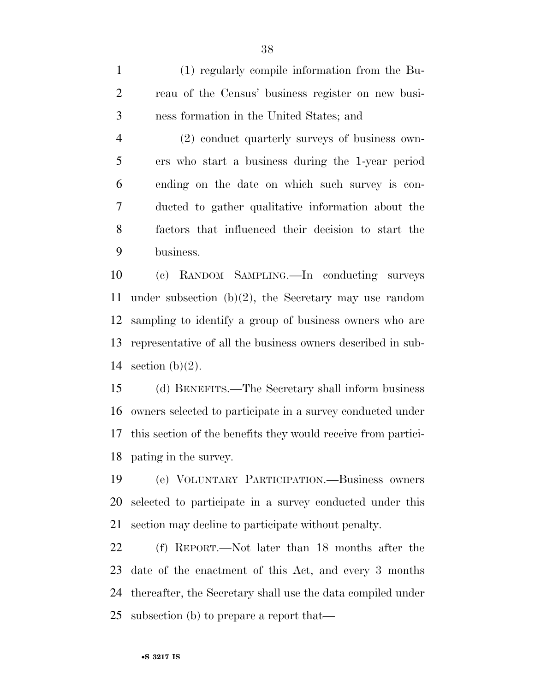(1) regularly compile information from the Bu- reau of the Census' business register on new busi-ness formation in the United States; and

 (2) conduct quarterly surveys of business own- ers who start a business during the 1-year period ending on the date on which such survey is con- ducted to gather qualitative information about the factors that influenced their decision to start the business.

 (c) RANDOM SAMPLING.—In conducting surveys under subsection (b)(2), the Secretary may use random sampling to identify a group of business owners who are representative of all the business owners described in sub-14 section  $(b)(2)$ .

 (d) BENEFITS.—The Secretary shall inform business owners selected to participate in a survey conducted under this section of the benefits they would receive from partici-pating in the survey.

 (e) VOLUNTARY PARTICIPATION.—Business owners selected to participate in a survey conducted under this section may decline to participate without penalty.

 (f) REPORT.—Not later than 18 months after the date of the enactment of this Act, and every 3 months thereafter, the Secretary shall use the data compiled under subsection (b) to prepare a report that—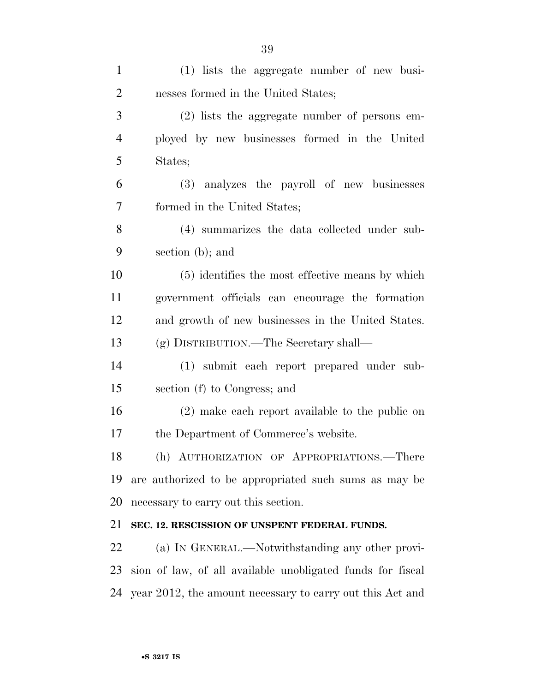| $\mathbf{1}$   | (1) lists the aggregate number of new busi-                  |
|----------------|--------------------------------------------------------------|
| $\overline{2}$ | nesses formed in the United States;                          |
| 3              | $(2)$ lists the aggregate number of persons em-              |
| $\overline{4}$ | ployed by new businesses formed in the United                |
| 5              | States;                                                      |
| 6              | (3) analyzes the payroll of new businesses                   |
| $\overline{7}$ | formed in the United States;                                 |
| 8              | (4) summarizes the data collected under sub-                 |
| 9              | section (b); and                                             |
| 10             | (5) identifies the most effective means by which             |
| 11             | government officials can encourage the formation             |
| 12             | and growth of new businesses in the United States.           |
| 13             | (g) DISTRIBUTION.—The Secretary shall—                       |
| 14             | (1) submit each report prepared under sub-                   |
| 15             | section (f) to Congress; and                                 |
| 16             | (2) make each report available to the public on              |
| 17             | the Department of Commerce's website.                        |
| 18             | (h) AUTHORIZATION OF APPROPRIATIONS.-There                   |
| 19             | are authorized to be appropriated such sums as may be        |
| 20             | necessary to carry out this section.                         |
| 21             | SEC. 12. RESCISSION OF UNSPENT FEDERAL FUNDS.                |
| 22             | (a) IN GENERAL.—Notwithstanding any other provi-             |
| 23             | sion of law, of all available unobligated funds for fiscal   |
|                | 24 year 2012, the amount necessary to carry out this Act and |
|                |                                                              |